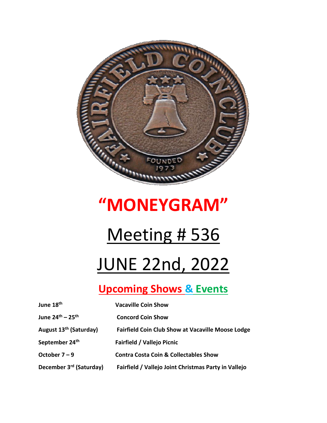

## **"MONEYGRAM"**

## **Meeting # 536**

# JUNE 22nd, 2022

## **Upcoming Shows & Events**

| June 18th                           | <b>Vacaville Coin Show</b>                               |
|-------------------------------------|----------------------------------------------------------|
| June $24^{th} - 25^{th}$            | <b>Concord Coin Show</b>                                 |
| August 13 <sup>th</sup> (Saturday)  | <b>Fairfield Coin Club Show at Vacaville Moose Lodge</b> |
| September 24th                      | <b>Fairfield / Vallejo Picnic</b>                        |
| October $7 - 9$                     | <b>Contra Costa Coin &amp; Collectables Show</b>         |
| December 3 <sup>rd</sup> (Saturday) | Fairfield / Vallejo Joint Christmas Party in Vallejo     |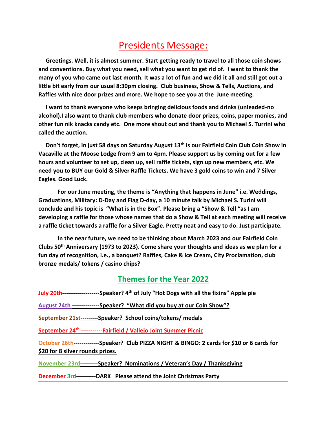### Presidents Message:

 **Greetings. Well, it is almost summer. Start getting ready to travel to all those coin shows and conventions. Buy what you need, sell what you want to get rid of. I want to thank the many of you who came out last month. It was a lot of fun and we did it all and still got out a little bit early from our usual 8:30pm closing. Club business, Show & Tells, Auctions, and Raffles with nice door prizes and more. We hope to see you at the June meeting.** 

 **I want to thank everyone who keeps bringing delicious foods and drinks (unleaded-no alcohol).I also want to thank club members who donate door prizes, coins, paper monies, and other fun nik knacks candy etc. One more shout out and thank you to Michael S. Turrini who called the auction.** 

 **Don't forget, in just 58 days on Saturday August 13th is our Fairfield Coin Club Coin Show in Vacaville at the Moose Lodge from 9 am to 4pm. Please support us by coming out for a few hours and volunteer to set up, clean up, sell raffle tickets, sign up new members, etc. We need you to BUY our Gold & Silver Raffle Tickets. We have 3 gold coins to win and 7 Silver Eagles. Good Luck.** 

**For our June meeting, the theme is "Anything that happens in June" i.e. Weddings, Graduations, Military: D-Day and Flag D-day, a 10 minute talk by Michael S. Turini will conclude and his topic is "What is in the Box". Please bring a "Show & Tell "as I am developing a raffle for those whose names that do a Show & Tell at each meeting will receive a raffle ticket towards a raffle for a Silver Eagle. Pretty neat and easy to do. Just participate.**

**In the near future, we need to be thinking about March 2023 and our Fairfield Coin Clubs 50th Anniversary (1973 to 2023). Come share your thoughts and ideas as we plan for a fun day of recognition, i.e., a banquet? Raffles, Cake & Ice Cream, City Proclamation, club bronze medals/ tokens / casino chips?** 

#### **Themes for the Year 2022**

**July 20th-------------------Speaker? 4th of July "Hot Dogs with all the fixins" Apple pie**

**August 24th --------------Speaker? "What did you buy at our Coin Show"?**

**September 21st---------Speaker? School coins/tokens/ medals**

**September 24th -----------Fairfield / Vallejo Joint Summer Picnic**

**October 26th-------------Speaker? Club PIZZA NIGHT & BINGO: 2 cards for \$10 or 6 cards for \$20 for 8 silver rounds prizes.**

**November 23rd---------Speaker? Nominations / Veteran's Day / Thanksgiving**

**December 3rd----------DARK Please attend the Joint Christmas Party**